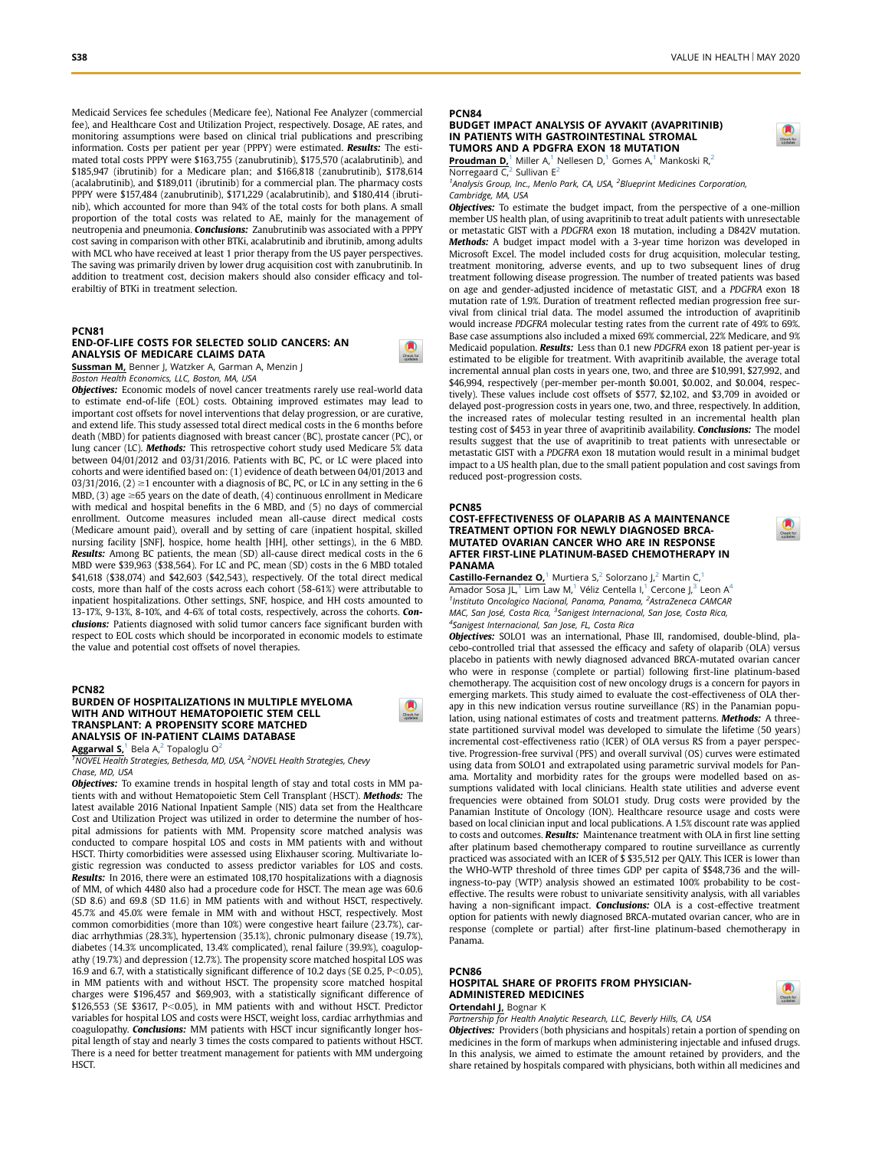Medicaid Services fee schedules (Medicare fee), National Fee Analyzer (commercial fee), and Healthcare Cost and Utilization Project, respectively. Dosage, AE rates, and monitoring assumptions were based on clinical trial publications and prescribing information. Costs per patient per year (PPPY) were estimated. Results: The estimated total costs PPPY were \$163,755 (zanubrutinib), \$175,570 (acalabrutinib), and \$185,947 (ibrutinib) for a Medicare plan; and \$166,818 (zanubrutinib), \$178,614 (acalabrutinib), and \$189,011 (ibrutinib) for a commercial plan. The pharmacy costs PPPY were \$157,484 (zanubrutinib), \$171,229 (acalabrutinib), and \$180,414 (ibrutinib), which accounted for more than 94% of the total costs for both plans. A small proportion of the total costs was related to AE, mainly for the management of neutropenia and pneumonia. Conclusions: Zanubrutinib was associated with a PPPY cost saving in comparison with other BTKi, acalabrutinib and ibrutinib, among adults with MCL who have received at least 1 prior therapy from the US payer perspectives. The saving was primarily driven by lower drug acquisition cost with zanubrutinib. In addition to treatment cost, decision makers should also consider efficacy and tolerabiltiy of BTKi in treatment selection.

### PCN81

### END-OF-LIFE COSTS FOR SELECTED SOLID CANCERS: AN ANALYSIS OF MEDICARE CLAIMS DATA

Sussman M, Benner J, Watzker A, Garman A, Menzin J Boston Health Economics, LLC, Boston, MA, USA

**Objectives:** Economic models of novel cancer treatments rarely use real-world data to estimate end-of-life (EOL) costs. Obtaining improved estimates may lead to important cost offsets for novel interventions that delay progression, or are curative, and extend life. This study assessed total direct medical costs in the 6 months before death (MBD) for patients diagnosed with breast cancer (BC), prostate cancer (PC), or lung cancer (LC). **Methods:** This retrospective cohort study used Medicare 5% data between 04/01/2012 and 03/31/2016. Patients with BC, PC, or LC were placed into cohorts and were identified based on: (1) evidence of death between 04/01/2013 and 03/31/2016, (2)  $\geq$ 1 encounter with a diagnosis of BC, PC, or LC in any setting in the 6 MBD, (3) age  $\geq$ 65 years on the date of death, (4) continuous enrollment in Medicare with medical and hospital benefits in the 6 MBD, and (5) no days of commercial enrollment. Outcome measures included mean all-cause direct medical costs (Medicare amount paid), overall and by setting of care (inpatient hospital, skilled nursing facility [SNF], hospice, home health [HH], other settings), in the 6 MBD. Results: Among BC patients, the mean (SD) all-cause direct medical costs in the 6 MBD were \$39,963 (\$38,564). For LC and PC, mean (SD) costs in the 6 MBD totaled \$41,618 (\$38,074) and \$42,603 (\$42,543), respectively. Of the total direct medical costs, more than half of the costs across each cohort (58-61%) were attributable to inpatient hospitalizations. Other settings, SNF, hospice, and HH costs amounted to 13-17%, 9-13%, 8-10%, and 4-6% of total costs, respectively, across the cohorts. Conclusions: Patients diagnosed with solid tumor cancers face significant burden with respect to EOL costs which should be incorporated in economic models to estimate the value and potential cost offsets of novel therapies.

#### PCN82

### BURDEN OF HOSPITALIZATIONS IN MULTIPLE MYELOMA WITH AND WITHOUT HEMATOPOIETIC STEM CELL TRANSPLANT: A PROPENSITY SCORE MATCHED ANALYSIS OF IN-PATIENT CLAIMS DATABASE

Aggarwal S,<sup>1</sup> Bela A,<sup>2</sup> Topaloglu O<sup>2</sup>

 $^7$ NOVEL Health Strategies, Bethesda, MD, USA,  $^2$ NOVEL Health Strategies, Chevy Chase, MD, USA

Objectives: To examine trends in hospital length of stay and total costs in MM patients with and without Hematopoietic Stem Cell Transplant (HSCT). Methods: The latest available 2016 National Inpatient Sample (NIS) data set from the Healthcare Cost and Utilization Project was utilized in order to determine the number of hospital admissions for patients with MM. Propensity score matched analysis was conducted to compare hospital LOS and costs in MM patients with and without HSCT. Thirty comorbidities were assessed using Elixhauser scoring. Multivariate logistic regression was conducted to assess predictor variables for LOS and costs. Results: In 2016, there were an estimated 108,170 hospitalizations with a diagnosis of MM, of which 4480 also had a procedure code for HSCT. The mean age was 60.6 (SD 8.6) and 69.8 (SD 11.6) in MM patients with and without HSCT, respectively. 45.7% and 45.0% were female in MM with and without HSCT, respectively. Most common comorbidities (more than 10%) were congestive heart failure (23.7%), cardiac arrhythmias (28.3%), hypertension (35.1%), chronic pulmonary disease (19.7%), diabetes (14.3% uncomplicated, 13.4% complicated), renal failure (39.9%), coagulopathy (19.7%) and depression (12.7%). The propensity score matched hospital LOS was 16.9 and 6.7, with a statistically significant difference of 10.2 days (SE 0.25, P<0.05), in MM patients with and without HSCT. The propensity score matched hospital charges were \$196,457 and \$69,903, with a statistically significant difference of  $$126,553$  (SE  $$3617$ , P<0.05), in MM patients with and without HSCT. Predictor variables for hospital LOS and costs were HSCT, weight loss, cardiac arrhythmias and coagulopathy. Conclusions: MM patients with HSCT incur significantly longer hospital length of stay and nearly 3 times the costs compared to patients without HSCT. There is a need for better treatment management for patients with MM undergoing HSCT.

#### PCN84

### BUDGET IMPACT ANALYSIS OF AYVAKIT (AVAPRITINIB) IN PATIENTS WITH GASTROINTESTINAL STROMAL TUMORS AND A PDGFRA EXON 18 MUTATION



Proudman D,<sup>1</sup> Miller A,<sup>1</sup> Nellesen D,<sup>1</sup> Gomes A,<sup>1</sup> Mankoski R,<sup>2</sup><br>Norregaard C,<sup>2</sup> Sullivan E<sup>2</sup>

<sup>1</sup> Analysis Group, Inc., Menlo Park, CA, USA, <sup>2</sup> Blueprint Medicines Corporation, Cambridge, MA, USA

**Objectives:** To estimate the budget impact, from the perspective of a one-million member US health plan, of using avapritinib to treat adult patients with unresectable or metastatic GIST with a PDGFRA exon 18 mutation, including a D842V mutation. Methods: A budget impact model with a 3-year time horizon was developed in Microsoft Excel. The model included costs for drug acquisition, molecular testing, treatment monitoring, adverse events, and up to two subsequent lines of drug treatment following disease progression. The number of treated patients was based on age and gender-adjusted incidence of metastatic GIST, and a PDGFRA exon 18 mutation rate of 1.9%. Duration of treatment reflected median progression free survival from clinical trial data. The model assumed the introduction of avapritinib would increase PDGFRA molecular testing rates from the current rate of 49% to 69%. Base case assumptions also included a mixed 69% commercial, 22% Medicare, and 9% Medicaid population. Results: Less than 0.1 new PDGFRA exon 18 patient per-year is estimated to be eligible for treatment. With avapritinib available, the average total incremental annual plan costs in years one, two, and three are \$10,991, \$27,992, and \$46,994, respectively (per-member per-month \$0.001, \$0.002, and \$0.004, respectively). These values include cost offsets of \$577, \$2,102, and \$3,709 in avoided or delayed post-progression costs in years one, two, and three, respectively. In addition, the increased rates of molecular testing resulted in an incremental health plan testing cost of \$453 in year three of avapritinib availability. **Conclusions:** The model results suggest that the use of avapritinib to treat patients with unresectable or metastatic GIST with a PDGFRA exon 18 mutation would result in a minimal budget impact to a US health plan, due to the small patient population and cost savings from reduced post-progression costs.

#### PCN85

#### COST-EFFECTIVENESS OF OLAPARIB AS A MAINTENANCE TREATMENT OPTION FOR NEWLY DIAGNOSED BRCA-MUTATED OVARIAN CANCER WHO ARE IN RESPONSE AFTER FIRST-LINE PLATINUM-BASED CHEMOTHERAPY IN PANAMA



**Castillo-Fernandez O,**<sup>1</sup> Murtiera S,<sup>2</sup> Solorzano J,<sup>2</sup> Martin C,<sup>1</sup> Amador Sosa JL,<sup>1</sup> Lim Law M,<sup>1</sup> Véliz Centella I,<sup>1</sup> Cercone J,<sup>3</sup> Leon A<sup>4</sup> <sup>1</sup>Instituto Oncologico Nacional, Panama, Panama, <sup>2</sup>AstraZeneca CAMCAR MAC, San José, Costa Rica, <sup>3</sup>Sanigest Internacional, San Jose, Costa Rica, 4 Sanigest Internacional, San Jose, FL, Costa Rica

Objectives: SOLO1 was an international, Phase III, randomised, double-blind, placebo-controlled trial that assessed the efficacy and safety of olaparib (OLA) versus placebo in patients with newly diagnosed advanced BRCA-mutated ovarian cancer who were in response (complete or partial) following first-line platinum-based chemotherapy. The acquisition cost of new oncology drugs is a concern for payors in emerging markets. This study aimed to evaluate the cost-effectiveness of OLA therapy in this new indication versus routine surveillance (RS) in the Panamian population, using national estimates of costs and treatment patterns. Methods: A threestate partitioned survival model was developed to simulate the lifetime (50 years) incremental cost-effectiveness ratio (ICER) of OLA versus RS from a payer perspective. Progression-free survival (PFS) and overall survival (OS) curves were estimated using data from SOLO1 and extrapolated using parametric survival models for Panama. Mortality and morbidity rates for the groups were modelled based on assumptions validated with local clinicians. Health state utilities and adverse event frequencies were obtained from SOLO1 study. Drug costs were provided by the Panamian Institute of Oncology (ION). Healthcare resource usage and costs were based on local clinician input and local publications. A 1.5% discount rate was applied to costs and outcomes. **Results:** Maintenance treatment with OLA in first line setting after platinum based chemotherapy compared to routine surveillance as currently practiced was associated with an ICER of \$ \$35,512 per QALY. This ICER is lower than the WHO-WTP threshold of three times GDP per capita of \$\$48,736 and the willingness-to-pay (WTP) analysis showed an estimated 100% probability to be costeffective. The results were robust to univariate sensitivity analysis, with all variables having a non-significant impact. **Conclusions:** OLA is a cost-effective treatment option for patients with newly diagnosed BRCA-mutated ovarian cancer, who are in response (complete or partial) after first-line platinum-based chemotherapy in Panama.

# PCN86

### HOSPITAL SHARE OF PROFITS FROM PHYSICIAN-ADMINISTERED MEDICINES Ortendahl J, Bognar K

Partnership for Health Analytic Research, LLC, Beverly Hills, CA, USA

Objectives: Providers (both physicians and hospitals) retain a portion of spending on medicines in the form of markups when administering injectable and infused drugs. In this analysis, we aimed to estimate the amount retained by providers, and the share retained by hospitals compared with physicians, both within all medicines and